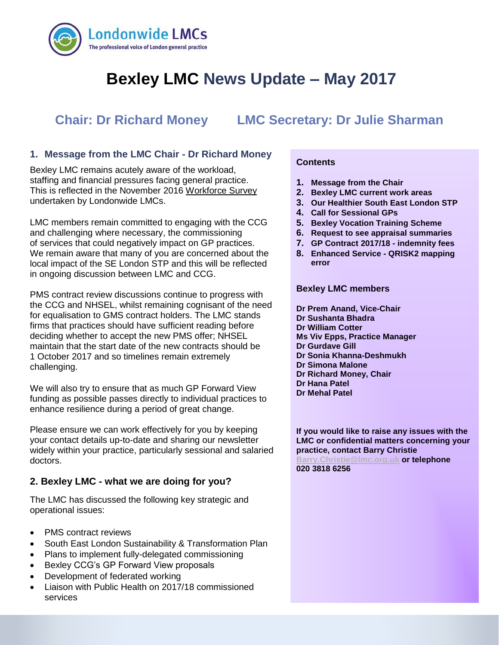

# **Bexley LMC News Update – May 2017**

## **Chair: Dr Richard Money LMC Secretary: Dr Julie Sharman**

## **1. Message from the LMC Chair - Dr Richard Money**

 Bexley LMC remains acutely aware of the workload, staffing and financial pressures facing general practice. This is reflected in the November 2016 [Workforce Survey](https://www.lmc.org.uk/article.php?group_id=16616) undertaken by Londonwide LMCs.

LMC members remain committed to engaging with the CCG and challenging where necessary, the commissioning of services that could negatively impact on GP practices. We remain aware that many of you are concerned about the local impact of the SE London STP and this will be reflected in ongoing discussion between LMC and CCG.

PMS contract review discussions continue to progress with the CCG and NHSEL, whilst remaining cognisant of the need for equalisation to GMS contract holders. The LMC stands firms that practices should have sufficient reading before deciding whether to accept the new PMS offer; NHSEL maintain that the start date of the new contracts should be 1 October 2017 and so timelines remain extremely challenging.

We will also try to ensure that as much GP Forward View funding as possible passes directly to individual practices to enhance resilience during a period of great change.

Please ensure we can work effectively for you by keeping your contact details up-to-date and sharing our newsletter widely within your practice, particularly sessional and salaried doctors.

## **2. Bexley LMC - what we are doing for you?**

The LMC has discussed the following key strategic and operational issues:

- PMS contract reviews
- South East London Sustainability & Transformation Plan
- Plans to implement fully-delegated commissioning
- Bexley CCG's GP Forward View proposals
- Development of federated working
- Liaison with Public Health on 2017/18 commissioned services

### **Contents**

- **1. Message from the Chair**
- **2. Bexley LMC current work areas**
- **3. Our Healthier South East London STP**
- **4. Call for Sessional GPs**
- **5. Bexley Vocation Training Scheme**
- **6. Request to see appraisal summaries**
- **7. GP Contract 2017/18 - indemnity fees**
- **8. Enhanced Service - QRISK2 mapping error**

#### **Bexley LMC members**

**Dr Prem Anand, Vice-Chair Dr Sushanta Bhadra Dr William Cotter Ms Viv Epps, Practice Manager Dr Gurdave Gill Dr Sonia Khanna-Deshmukh Dr Simona Malone Dr Richard Money, Chair**

- **Dr Hana Patel**
- **Dr Mehal Patel**

**If you would like to raise any issues with the LMC or confidential matters concerning your practice, contact Barry Christie [Barry.Christie@lmc.org.uk](mailto:Barry.Christie@lmc.org.uk) or telephone** 

**020 3818 6256**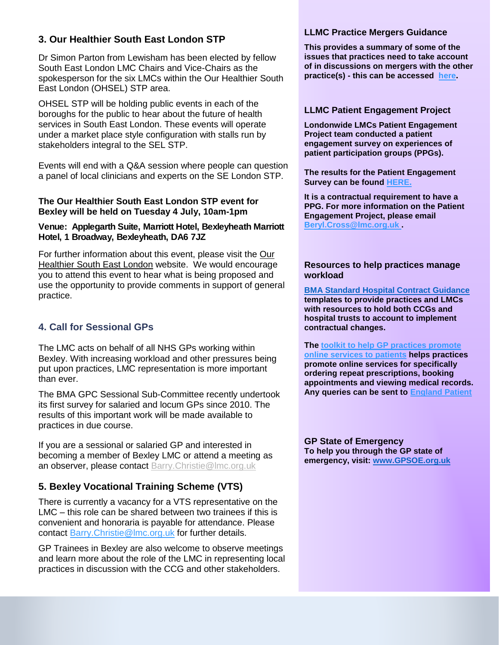## **3. Our Healthier South East London STP**

Dr Simon Parton from Lewisham has been elected by fellow South East London LMC Chairs and Vice-Chairs as the spokesperson for the six LMCs within the Our Healthier South East London (OHSEL) STP area.

OHSEL STP will be holding public events in each of the boroughs for the public to hear about the future of health services in South East London. These events will operate under a market place style configuration with stalls run by stakeholders integral to the SEL STP.

Events will end with a Q&A session where people can question a panel of local clinicians and experts on the SE London STP.

### **The Our Healthier South East London STP event for Bexley will be held on Tuesday 4 July, 10am-1pm**

### **Venue: Applegarth Suite, Marriott Hotel, Bexleyheath Marriott Hotel, 1 Broadway, Bexleyheath, DA6 7JZ**

For further information about this event, please visit the [Our](http://www.ourhealthiersel.nhs.uk/news-events/news.htm?postid=29531)  **[Healthier South East London](http://www.ourhealthiersel.nhs.uk/news-events/news.htm?postid=29531) website. We would encourage** you to attend this event to hear what is being proposed and use the opportunity to provide comments in support of general practice.

## **4. Call for Sessional GPs**

The LMC acts on behalf of all NHS GPs working within Bexley. With increasing workload and other pressures being put upon practices, LMC representation is more important than ever.

The BMA GPC Sessional Sub-Committee recently undertook its first survey for salaried and locum GPs since 2010. The results of this important work will be made available to practices in due course.

If you are a sessional or salaried GP and interested in becoming a member of Bexley LMC or attend a meeting as an observer, please contact [Barry.Christie@lmc.org.uk](mailto:Barry.Christie@lmc.org.uk)

## **5. Bexley Vocational Training Scheme (VTS)**

There is currently a vacancy for a VTS representative on the LMC – this role can be shared between two trainees if this is convenient and honoraria is payable for attendance. Please contact Barry. Christie@lmc.org.uk for further details.

GP Trainees in Bexley are also welcome to observe meetings and learn more about the role of the LMC in representing local practices in discussion with the CCG and other stakeholders.

#### **LLMC Practice Mergers Guidance**

**This provides a summary of some of the issues that practices need to take account of in discussions on mergers with the other practice(s) - this can be accessed [here](http://www.lmc.org.uk/visageimages/guidance/2016/Practice%20Mergers%20Guidance.pdf).**

## **LLMC Patient Engagement Project**

**Londonwide LMCs Patient Engagement Project team conducted a patient engagement survey on experiences of patient participation groups (PPGs).**

**The results for the Patient Engagement Survey can be found [HERE](https://www.lmc.org.uk/article.php?group_id=16207).** 

**It is a contractual requirement to have a PPG. For more information on the Patient Engagement Project, please email [Beryl.Cross@lmc.org.uk](mailto:Beryl.Cross@lmc.org.uk) .**

### **Resources to help practices manage workload**

**[BMA Standard Hospital Contract Guidance](https://www.bma.org.uk/collective-voice/committees/general-practitioners-committee/gpc-current-issues/nhs-england-standard-hospital-contract-guidance)  templates to provide practices and LMCs with resources to hold both CCGs and hospital trusts to account to implement contractual changes.** 

**The [toolkit to help GP practices promote](https://www.england.nhs.uk/wp-content/uploads/2016/09/go-online-prom-toolkit-gps-v2.pdf)  [online services to patients](https://www.england.nhs.uk/wp-content/uploads/2016/09/go-online-prom-toolkit-gps-v2.pdf) helps practices promote online services for specifically ordering repeat prescriptions, booking appointments and viewing medical records. Any queries can be sent to [England Patient](mailto:england.patient-online@nhs.net)**

**GP State of Emergency To help you through the GP state of emergency, visit: [www.GPSOE.org.uk](http://www.gpsoe.org.uk/)**